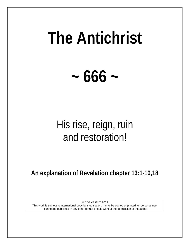# **The Antichrist**

**~ 666 ~**

## His rise, reign, ruin and restoration!

**An explanation of Revelation chapter 13:1-10,18**

© COPYRIGHT 2011 This work is subject to international copyright legislation. It may be copied or printed for personal use. It cannot be published in any other format or sold without the permission of the author.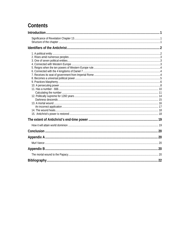## Contents

| .22 |
|-----|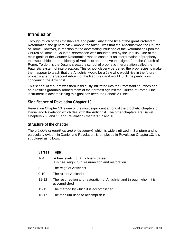## <span id="page-2-0"></span>**Introduction**

Through much of the Christian era and particularly at the time of the great Protestant Reformation, the general view among the faithful was that the Antichrist was the Church of Rome. However, in reaction to the devastating influence of the Reformation upon the Church of Rome, a Counter Reformation was mounted, led by the Jesuits. One of the main goals of the Counter Reformation was to construct an interpretation of prophecy that would hide the true identity of Antichrist and remove the stigma from the Church of Rome. To do this the Jesuits created a school of prophetic interpretation called the Futuristic system of interpretation. This school cleverly perverted the prophecies to make them appear to teach that the Antichrist would be a Jew who would rise in the future probably after the Second Advent or the Rapture - and would fulfill the predictions concerning the Antichrist.

This school of thought was then insidiously infiltrated into the Protestant churches and as a result it gradually robbed them of their protest against the Church of Rome. One instrument in accomplishing this goal has been the Schofield Bible.

## <span id="page-2-1"></span>**Significance of Revelation Chapter 13**

Revelation Chapter 13 is one of the most significant amongst the prophetic chapters of Daniel and Revelation which deal with the Antichrist. The other chapters are Daniel Chapters 7, 8 and 11 and Revelation Chapters 17 and 18.

## <span id="page-2-2"></span>**Structure of the chapter**

The *principle of repetition and enlargement,* which is widely utilized in Scripture and is particularly evident in Daniel and Revelation, is employed in Revelation Chapter 13. It is structured as follows:

| Verses    | Topic                                                                                        |
|-----------|----------------------------------------------------------------------------------------------|
| $1 - 4$   | A brief sketch of Antichrist's career<br>His rise, reign, ruin, resurrection and restoration |
| 5-8       | The reign of Antichrist                                                                      |
| $9 - 10$  | The ruin of Antichrist                                                                       |
| $11 - 12$ | The resurrection and restoration of Antichrist and through whom it is<br>accomplished        |
| $13 - 15$ | The method by which it is accomplished                                                       |
| 16-17     | The medium used to accomplish it                                                             |
|           |                                                                                              |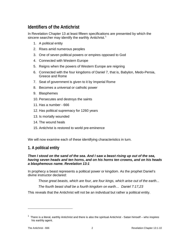## <span id="page-3-0"></span>**Identifiers of the Antichrist**

In Revelation Chapter 13 at least fifteen specifications are presented by which the sincere searcher may identify the earthly Antichrist.<sup>[1](#page-3-2)</sup>

- 1. A political entity
- 2. Rises amid numerous peoples
- 3. One of seven political powers or empires opposed to God
- 4. Connected with Western Europe
- 5. Reigns when the powers of Western Europe are reigning
- 6. Connected with the four kingdoms of Daniel 7, that is, Babylon, Medo-Persia, Greece and Rome
- 7. Seat of government is given to it by Imperial Rome
- 8. Becomes a universal or catholic power
- 9. Blasphemes
- 10. Persecutes and destroys the saints
- 11. Has a number 666
- 12. Has political supremacy for 1260 years
- 13. Is mortally wounded
- 14. The wound heals
- 15. Antichrist is restored to world pre-eminence

<span id="page-3-1"></span>We will now examine each of these identifying characteristics in turn.

## **1. A political entity**

## *Then I stood on the sand of the sea. And I saw a beast rising up out of the sea, having seven heads and ten horns, and on his horns ten crowns, and on his heads a blasphemous name. Revelation 13:1*

In prophecy a beast represents a political power or kingdom. As the prophet Daniel's divine instructor declared:

*Those great beasts, which are four, are four kings, which arise out of the earth...*

*The fourth beast shall be a fourth kingdom on earth… Daniel 7:17,23*

This reveals that the Antichrist will not be an individual but rather a political entity.

<span id="page-3-2"></span> $1$  There is a literal, earthly Antichrist and there is also the spiritual Antichrist - Satan himself – who inspires his earthly agent.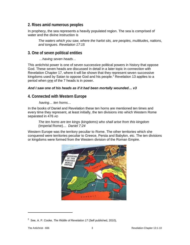## <span id="page-4-0"></span>**2. Rises amid numerous peoples**

In prophecy, the sea represents a heavily populated region. The sea is comprised of water and the divine instruction is

*The waters which you saw, where the harlot sits, are peoples, multitudes, nations, and tongues. Revelation 17:15*

## <span id="page-4-1"></span>**3. One of seven political entities**

*…having seven heads…*

This antichrist power is one of seven successive political powers in history that oppose God. These seven heads are discussed in detail in a later topic in connection with Revelation Chapter 17, where it will be shown that they represent seven successive kingdoms used by Satan to oppose God and his people.<sup>[2](#page-4-3)</sup> Revelation 13 applies to a period when one of the 7 heads is in power.

## *And I saw one of his heads as if it had been mortally wounded… v3*

## <span id="page-4-2"></span>**4. Connected with Western Europe**

*having… ten horns…*

In the books of Daniel and Revelation these ten horns are mentioned ten times and every time they represent, at least initially, the ten divisions into which Western Rome separated in 476 AD

*The ten horns are ten kings* (kingdoms) *who shall arise from this kingdom*  (Imperial Rome)… *Daniel 7:24*

Western Europe was the territory peculiar to Rome. The other territories which she conquered were territories peculiar to Greece, Persia and Babylon, etc. The ten divisions or kingdoms were formed from the Western division of the Roman Empire.



<span id="page-4-3"></span><sup>2</sup> See, A. P. Cooke, *The Riddle of Revelation 17* (Self published, 2010),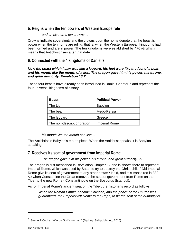## <span id="page-5-0"></span>**5. Reigns when the ten powers of Western Europe rule**

## *…and on his horns ten crowns…*

Crowns indicate sovereignty and the crowns upon the horns denote that the beast is in power when the ten horns are ruling; that is, when the Western European kingdoms had been formed and are in power. The ten kingdoms were established by 476 AD which means that Antichrist rises after that date.

## <span id="page-5-1"></span>**6. Connected with the 4 kingdoms of Daniel 7**

## *Now the beast which I saw was like a leopard, his feet were like the feet of a bear, and his mouth like the mouth of a lion. The dragon gave him his power, his throne, and great authority. Revelation 13:2*

These four beasts have already been introduced in Daniel Chapter 7 and represent the four universal kingdoms of history.

| <b>Beast</b>               | <b>Political Power</b> |
|----------------------------|------------------------|
| The Lion                   | <b>Babylon</b>         |
| The bear                   | Medo-Persia            |
| The leopard                | Greece                 |
| The non-descript or dragon | <b>Imperial Rome</b>   |

*…his mouth like the mouth of a lion…*

The Antichrist is Babylon's mouth piece. When the Antichrist speaks, it is Babylon speaking.

## <span id="page-5-2"></span>**7. Receives its seat of government from Imperial Rome**

*…The dragon gave him his power, his throne, and great authority. v2*

The dragon is first mentioned in Revelation Chapter 12 and is shown there to represent Imperial Rome, which was used by Satan to try to destroy the Christ-child.<sup>[3](#page-5-3)</sup> Did Imperial Rome give its seat of government to any other power? It did, and this transpired in 330 AD when Constantine the Great removed the seat of government from Rome on the Tiber to the new Rome - Constantinople on the Bosporus (Istanbul).

As for Imperial Rome's ancient seat on the Tiber, the historians record as follows:

*When the Roman Empire became Christian, and the peace of the Church was guaranteed, the Emperor left Rome to the Pope, to be the seat of the authority of* 

<span id="page-5-3"></span> $3$  See, A.P.Cooke, "War on God's Woman," (Sydney: Self-published, 2010).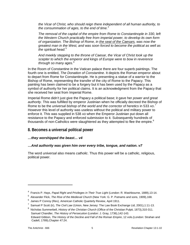*the Vicar of Christ, who should reign there independent of all human authority, to the consummation of ages, to the end of time.*[4](#page-6-1)

*The removal of the capital of the empire from Rome to Constantinople in 330, left the Western Church practically free from imperial power, to develop its own form of organization. The Bishop of Rome, in the seat of the Caesars, was now the greatest man in the West, and was soon forced to become the political as well as the spiritual head.*[5](#page-6-2)

*And meekly stepping to the throne of Caesar, the Vicar of Christ took up the scepter to which the emperor and kings of Europe were to bow in reverence through so many ages.*[6](#page-6-3)

In the Room of Constantine in the Vatican palace there are four superb paintings. The fourth one is entitled, *The Donation of Constantine*. It depicts the Roman emperor about to depart from Rome for Constantinople. He is presenting a statue of a warrior to the Bishop of Rome, representing the transfer of the city of Rome to the Papacy. This painting has been claimed to be a forgery but it has been used by the Papacy as a symbol of authority for her political claims. It is an acknowledgment from the Papacy that she received her seat from Imperial Rome.

Imperial Rome didn't just give the Papacy a political base; it gave her *power and great authority*. This was fulfilled by emperor Justinian when he officially decreed the Bishop of Rome to be the *universal bishop of the world and the corrector of heretics* in 533 AD.<sup>[7](#page-6-4)</sup> However this level of authority was useless without the political and military power to enforce it. This was supplied in 538 AD when the Emperor Justinian put down all resistance to the Papacy and enforced submission to it. Subsequently hundreds of thousands of non-Catholics were slaughtered as they attempted to flee the empire. $8$ 

## <span id="page-6-0"></span>**8. Becomes a universal political power**

## *…they worshipped the beast… v4*

## *…And authority was given him over every tribe, tongue, and nation. v7*

The word *universal* also means *catholic*. Thus this power will be a catholic, religious, political power.

<span id="page-6-1"></span><sup>4</sup> Francis P. Hays, *Papal Right and Privileges in Their True Light* (London: R. Washbourne, 1889),13-14.

<span id="page-6-2"></span><sup>&</sup>lt;sup>5</sup> Alexander Flick, *The Rise of the Medieval Church* (New York: G. P. Putnams and sons, 1909),168.

 $^6$  James P Conroy (Rev), American Catholic Quarterly Review, April 1911.

<span id="page-6-4"></span><span id="page-6-3"></span><sup>7</sup> Samuel P Scott (tr), *The Civil Law* (Union, New Jersey: The Law Book Exchange Ltd, 2001),1:11-13.

<span id="page-6-5"></span><sup>8</sup> Nicholas Summerbell, *History of the Christian Church* (Office of the Christian Pulpit, 1873),310-311. Samuel Chandler, *The History of Persecution* (London: J. Gray, 1736),142-143. Edward Gibbon, *The History of the Decline and Fall of the Roman Empire*, 12 vols.(London: Strahan and Cadell, 1789),Chapter 47:24.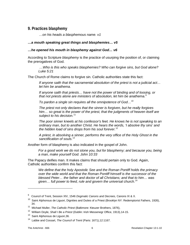## <span id="page-7-0"></span>**9. Practices blasphemy**

*…on his heads a blasphemous name. v1*

## *…a mouth speaking great things and blasphemies… v5*

#### *…he opened his mouth in blasphemy against God… v6*

According to Scripture *blasphemy* is the practice of usurping the position of, or claiming the prerogatives of God.

*…Who is this who speaks blasphemies? Who can forgive sins, but God alone? Luke 5:21*

The Church of Rome claims to forgive sin. Catholic authorities state this fact:

*If anyone saith that the sacramental absolution of the priest is not a judicial act… let him be anathema.*

*If anyone saith that priests… have not the power of binding and of loosing, or that not priests alone are ministers of absolution, let him be anathema.*[9](#page-7-1)

*To pardon a single sin requires all the omnipotence of God…*[10](#page-7-2)

*The priest not only declares that the sinner is forgiven, but he really forgives him… so great is the power of the priest, that the judgments of heaven itself are subject to his decision.*[11](#page-7-3)

*The poor sinner kneels at his confessor's feet. He knows he is not speaking to an ordinary man, but to another Christ. He hears the words, 'I absolve thy sins' and the hidden load of sins drops from his soul forever.*[12](#page-7-4)

*A priest, in absolving a sinner, performs the very office of the Holy Ghost in the sanctification of souls.*[13](#page-7-5)

Another form of blasphemy is also indicated in the gospel of John.

*For a good work we do not stone you, but for blasphemy; and because you, being a man, make yourself God. John 10:33*

The Papacy deifies man. It makes claims that should pertain only to God. Again, Catholic authorities confirm this fact:

*We define that the holy Apostolic See and the Roman Pontiff holds the primacy over the wide world and that the Roman Pontiff himself is the successor of the blessed Peter… the father and doctor of all Christians; and that to him… was given… full power to feed, rule and govern the universal church.*[14](#page-7-6)

<span id="page-7-1"></span><sup>9</sup> Council of Trent, Session XIV, 1546 *Dogmatic Canons and Decrees,* Canons IX & X.

<span id="page-7-2"></span> $10$  Saint Alphonsus de Liguori, Dignities and Duties of a Priest (Brooklyn NY: Redemptorist Fathers, 1926), 34.

<span id="page-7-3"></span><sup>11</sup> Michael Muller, *The Catholic Priest* (Baltimore: Kteuzer Brothers, 1876),

<sup>12</sup> William Doyle, *Shall I Be a Priest* (Dublin: Irish Messenegr Office, 1913),14-15.

<span id="page-7-5"></span><span id="page-7-4"></span><sup>&</sup>lt;sup>13</sup> Saint Alphonsus de Liguori, 36.

<span id="page-7-6"></span><sup>14</sup> Labbe and Cossart, *The Council of Trent* (Paris: 1671),12:1167.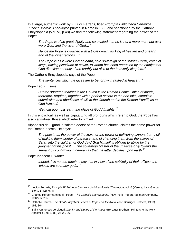In a large, authentic work by F. Lucii Ferraris, titled *Prompta Bibliotheca Canonica Juridica Moralis Theologica* printed in Rome in 1800 and sanctioned by the Catholic Encyclopedia (Vol. VI, p.48) we find the following statement regarding the power of the Pope:

*The Pope is of so great dignity and so exalted that he is not a mere man, but as it were God, and the vicar of God…"*

*Hence the Pope is crowned with a triple crown, as king of heaven and of earth and of the lower regions…"*

*The Pope is as it were God on earth, sole sovereign of the faithful Christ, chief of kings, having plentitude of power, to whom has been entrusted by the omnipotent God direction not only of the earthly but also of the heavenly kingdom.*[15](#page-8-0)

The Catholic Encyclopedia says of the Pope:

*The sentences which he gives are to be forthwith ratified in heaven.*[16](#page-8-1)

Pope Leo XIII says:

*But the supreme teacher in the Church is the Roman Pontiff. Union of minds, therefore, requires, together with a perfect accord in the one faith, complete submission and obedience of will to the Church and to the Roman Pontiff, as to God Himself.*

*We hold upon this earth the place of God Almighty.[17](#page-8-2)*

In this encyclical, as well as capitalizing all pronouns which refer to God, the Pope has also capitalized those which refer to himself.

Alphonsus de Liguori, a sainted doctor of the Roman church, claims the same power for the Roman priests. He says:

*The priest has the power of the keys, or the power of delivering sinners from hell, of making them worthy of paradise, and of changing them from the slaves of Satan into the children of God. And God himself is obliged to abide by the judgment of his priest…. The sovereign Master of the universe only follows the servant by confirming in heaven all that the latter decides upon earth.*[18](#page-8-3)

Pope Innocent III wrote:

*Indeed, it is not too much to say that in view of the sublimity of their offices, the priests are so many gods.[18](#page-8-4)*

<span id="page-8-0"></span><sup>15</sup> Lucius Ferraris, *Prompta Bibliotheca Canonica Juridica Moralis Theologica*, vol. 6 (Venice, Italy: Gaspar Storti, 1772), 6:48.

<span id="page-8-1"></span><sup>16</sup> Charles Herbermann et al, "Pope," *The Catholic Encyclopedia*, (New York: Robert Appleton Company, 1912),12:265

<span id="page-8-2"></span><sup>17</sup> Catholic Church, *The Great Encyclical Letters of Pope Leo Xiii* (New York: Benziger Brothers, 1903), 193, 304.

<span id="page-8-4"></span><span id="page-8-3"></span><sup>18</sup> Saint Alphonsus de Liguori, *Dignity and Duties of the Priest,* (Benziger Brothers, Printers to the Holy Apostolic See, 1888) 27-28, 36.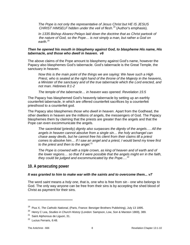*The Pope is not only the representative of Jesus Christ but HE IS JESUS CHRIST HIMSELF hidden under the veil of flesh.*[19](#page-9-1) (Author's emphasis).

*In 1335 Bishop Alvarez Pelayo laid down the doctrine that as Christ partook of the nature of God, so the Pope… is not simply a man, but rather a God on earth.*[20](#page-9-2)

#### *Then he opened his mouth in blasphemy against God, to blaspheme His name, His tabernacle, and those who dwell in heaven. v6*

The above claims of the Pope amount to blasphemy against God's name, however the Papacy also blasphemes God's tabernacle. God's tabernacle is the Great Temple, the sanctuary in heaven.

*Now this is the main point of the things we are saying: We have such a High Priest, who is seated at the right hand of the throne of the Majesty in the heavens, a Minister of the sanctuary and of the true tabernacle which the Lord erected, and not man. Hebrews 8:1-2*

*The temple of the tabernacle… in heaven was opened. Revelation 15:5*

The Papacy has blasphemed God's heavenly tabernacle by setting up an earthly counterfeit tabernacle, in which are offered counterfeit sacrifices by a counterfeit priesthood to a counterfeit god.

The Papacy also blasphemes *those who dwell in heaven*. Apart from the Godhead, the other dwellers in heaven are the millions of angels, the messengers of God. The Papacy blasphemes them by claiming that the priests are greater than the angels and that the Pope can even excommunicate the angels.

*The sacerdotal* (priestly) *dignity also surpasses the dignity of the angels…. All the angels in heaven cannot absolve from a single sin… the holy archangel can chase away devils, but he cannot free his client from their claims till a priest comes to absolve him… If I saw an angel and a priest, I would bend my knee first to the priest and then to the angel.*[21](#page-9-3)

*The Pope is crowned with a triple crown, as king of heaven and of earth and of the lower regions… so that if it were possible that the angels might err in the faith, they could be judged and excommunicated by the Pope….* [22](#page-9-4)

## <span id="page-9-0"></span>**10. A persecuting power**

#### *It was granted to him to make war with the saints and to overcome them... v7*

The word *saint* means *a holy one*, that is, one who is free from sin - one who belongs to God. The only way anyone can be free from their sins is by accepting the shed blood of Christ as payment for their sins.

<span id="page-9-1"></span><sup>19</sup> Pius X, *The Catholic National*, (Paris, France: Benziger Brothers Publishing), July 13 1895.

<span id="page-9-2"></span><sup>20</sup> Henry C Lea, *Studies in Church History* (London: Sampson, Low, Son & Marston 1869), 389.

<span id="page-9-3"></span><sup>&</sup>lt;sup>21</sup> Saint Alphonsus de Liguori, 31.

<span id="page-9-4"></span><sup>&</sup>lt;sup>22</sup> Lucius Ferraris, 6:48.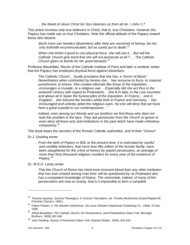*…the blood of Jesus Christ his Son cleanses us from all sin. I John 1:7*

This action involves only true believers in Christ, that is, true Christians. However the Papacy has made war on true Christians. Note the official attitude of the Papacy toward those who dissent.

*Much more can heretics* (dissenters) *after they are convicted of heresy, be not only forthwith excommunicated, but as surely put to death.*[23](#page-10-0)

*When she thinks it good to use physical force, she will use it… But will the Catholic Church give bond that she will not persecute at all ? … The Catholic Church gives no bonds for her good behavior.*[24](#page-10-1)

Professor Baudrillart, Rector of the Catholic Institute of Paris and later a cardinal, writes that the Papacy has employed physical force against dissenters:

*The Catholic Church… loudly proclaims that she has, a 'horror of blood.' Nevertheless when confronted by heresy she… has recourse to force, to corporal punishment, to torture. She creates tribunals like those of the Inquisition… encourages a crusade, or a religious war… Especially did she act thus in the sixteenth century with regard to Protestants… she lit in Italy, in the Low countries and above all in Spain the funeral piles of the Inquisition. In France… and in England… she tortured the heretics whilst both in France and Germany… she encouraged and actively aided the religious wars. No one will deny that we have here a great scandal to our contemporaries…"*

*Indeed, even among our friends and our brothers we find those who dare not* look this problem in the face. They ask permission from the Church to ignore or *even deny all those acts and institutions in the past which have made orthodoxy compulsory.*[25](#page-10-2)

This book bears the sanction of the Roman Catholic authorities, and of their *"Censor".*

Dr J. Dowling wrote:

*From the birth of Popery in 606, to the present time, it is estimated by careful and credible historians, that more than fifty million of the human family, have been slaughtered for the crime of heresy by popish persecutors, an average of more than forty thousand religious murders for every year of the existence of Popery.*[26](#page-10-3)

Dr. W.E.H. Lecky wrote:

*That the Church of Rome has shed more innocent blood than any other institution that has ever existed among man kind, will be questioned by no Protestant who has a competent knowledge of history. The memorials, indeed, of many of her persecutions are now so scanty, that is it impossible to form a complete* 

<span id="page-10-0"></span><sup>23</sup> Thomas Aquinas, *Summa Theologica: A Concise Translation*, ed. Timothy McDermott (Grand Rapids MI: Christian Classics, 1991),

<span id="page-10-1"></span><sup>24</sup> Father Phelan, in *The Western Watchman*, (St Louis: Western Watchman Publishing Co., 1908), 24 Dec 1908.

<span id="page-10-2"></span><sup>25</sup> Alfred Baudrillart, *The Catholic Church, the Renaissance, and Protestantism* (New York: Benziger Brothers, 1908),182-184.

<span id="page-10-3"></span><sup>26</sup> John Dowling, *History of Romanism* (New York: Edward Walker, 1845), 541-542.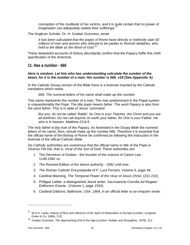*conception of the multitude of her victims, and it is quite certain that no power of imagination can adequately realize their sufferings.*<sup>2</sup>

The Anglican Scholar, Dr. H. Grattan Guinness, wrote:

*It has been calculated that the popes of Rome have directly or indirectly slain 50 millions of men and women who refused to be parties to Romish idolatries, who held to the Bible as the Word of God.*[28](#page-11-2)

These distasteful accounts of history abundantly confirm that the Papacy fulfils this ninth specification of the Antichrist.

<span id="page-11-0"></span>**11. Has a number - 666**

#### *Here is wisdom. Let him who has understanding calculate the number of the beast, for it is the number of a man: His number is 666. v18 (See Appendix A)*

In the Catholic Douay version of the Bible there is a footnote inserted by the Catholic translators which reads:

*666. The numeral letters of his name shall make up this number.*

This name represents the number of a man. The man predominant in the Papal system is unquestionably the Pope. The title *pope* means *father*. The word *Papacy* is also from the word *father*. This is in spite of Jesus' command:

*But you, do not be called 'Rabbi'; for One is your Teacher, the Christ and you are all brethren. Do not call anyone on earth your father; for One is your Father, He who is in heaven. Matthew 23:8-9* 

*The holy father* is the man of the Papacy. As footnoted in the Douay Bible the numeral letters of his name, then, should make up the number 666. Therefore it is essential that the official name of the Bishop of Rome be confirmed as following the instruction in the footnote of the official Catholic Bible.

Six Catholic authorities are unanimous that the official name or title of the Pope is *Vicarius Filii Dei*, that is, *Vicar of the Son of God.* These authorities are:

- 1. The *Decretum* of Gratian the founder of the science of Canon Law 1148-1582 AD
- 2. The Revised Edition of the above authority 1582 until now.
- 3. *The Roman Catholic Encyclopedia* of F. Lucii Ferraris, Volume 6, page 48.
- 4. Cardinal Manning, *The Temporal Power of the Vicar of Jesus Christ*, (231-232).
- 5. Philippe Labbe a distinguished Jesuit writer, *Sacrosancta Concilia Ad Regiam Editionem Exacta*. (Volume 1, page 1534).
- 6. Cardinal Gibbons, Baltimore, USA ,1904, in an official letter to an enquirer wrote:

<span id="page-11-1"></span><sup>&</sup>lt;sup>27</sup> W.E.H. Lecky, *History of Rise and Influence of the Spirit of Rationalism in Europe* (London: Longman Green & Co, 1866), 2:32.

<span id="page-11-2"></span><sup>28</sup> Grattan Guinness, *The Approaching End of the Age* (London: Hodder and Straughton, 1879), 212.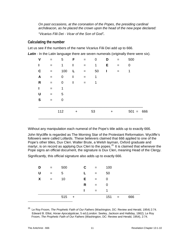*On past occasions, at the coronation of the Popes, the presiding cardinal archdeacon, as he placed the crown upon the head of the new pope declared:*

*"Vicarius Filii Dei - Vicar of the Son of God".*

## <span id="page-12-0"></span>**Calculating the number**

Let us see if the numbers of the name Vicarius Filii Dei add up to 666.

**Latin** - In the Latin language there are seven numerals (originally there were six).

| V            | $=$ | 5   | F      | $=$ | 0  | D            |     | 500         |  |
|--------------|-----|-----|--------|-----|----|--------------|-----|-------------|--|
| I            | $=$ | 1   | ı      | $=$ | 1  | Е            | $=$ | 0           |  |
| C            | $=$ | 100 | L      | $=$ | 50 | $\mathbf{I}$ | $=$ | 1           |  |
| A            | $=$ | 0   | п      | $=$ | 1  |              |     |             |  |
| R            | $=$ | 0   | L      | $=$ | 1  |              |     |             |  |
| $\mathbf{I}$ | $=$ | 1   |        |     |    |              |     |             |  |
| U            | $=$ | 5   |        |     |    |              |     |             |  |
| S            | =   | 0   |        |     |    |              |     |             |  |
|              |     |     |        |     |    |              |     |             |  |
|              |     | 112 | $\div$ |     | 53 | $\ddag$      |     | $501 = 666$ |  |
|              |     |     |        |     |    |              |     |             |  |

Without any manipulation each numeral of the Pope's title adds up to exactly 666.

John Wycliffe is regarded as The Morning Star of the Protestant Reformation. Wycliffe's followers were called Lollards. These believers claimed that 666 applied to one of the Pope's other titles, Dux Cleri. Walter Brute, a Welsh layman, Oxford graduate and martyr, is on record as applying Dux Cleri to the popes.<sup>[29](#page-12-1)</sup> It is claimed that whenever the Pope signs an official document, the signature is Dux Cleri, meaning Head of the Clergy.

Significantly, this official signature also adds up to exactly 666.

| D | and the state of the state of the state of the state of the state of the state of the state of the state of the state of the state of the state of the state of the state of the state of the state of the state of the state | 500     | C  | $\mathbf{r} = \mathbf{r}$ | 100 |     |     |
|---|-------------------------------------------------------------------------------------------------------------------------------------------------------------------------------------------------------------------------------|---------|----|---------------------------|-----|-----|-----|
| U | $=$ $-$                                                                                                                                                                                                                       | 5       | L. | $=$                       | 50  |     |     |
| X | $=$ $-$                                                                                                                                                                                                                       | 10      | Е. | $=$ $-$                   | 0   |     |     |
|   |                                                                                                                                                                                                                               |         | R  | $=$                       | 0   |     |     |
|   |                                                                                                                                                                                                                               |         |    | $\equiv$                  | 1   |     |     |
|   |                                                                                                                                                                                                                               | $515 +$ |    |                           | 151 | $=$ | 666 |

<span id="page-12-1"></span><sup>29</sup> Le Roy Froom, *The Prophetic Faith of Our Fathers* (Washington, DC: Review and Herald, 1954) 2:74. Edward B. Elliot, *Horae Apocalypticae*, 5 ed.(London: Seeley, Jackson and Halliday, 1862); Le Roy Froom, *The Prophetic Faith of Our Fathers* (Washington, DC: Review and Herald, 1954), 2:74.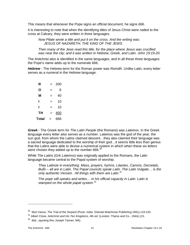This means that whenever the Pope signs an official document, he signs *666*.

It is interesting to note that when the identifying titles of Jesus Christ were nailed to the cross at Calvary, they were written in three languages.

*Now Pilate wrote a title and put it on the cross. And the writing was: JESUS OF NAZARETH, THE KING OF THE JEWS.*

*Then many of the Jews read this title, for the place where Jesus was crucified was near the city; and it was written in Hebrew, Greek, and Latin. John 19:19-20.*

The Antichrist also is identified in the same languages, and in all these three languages the Pope's name adds up to the numerals 666.

*Hebrew* - The Hebrew term for the Roman power was *Romiith*. Unlike Latin, every letter serves as a numeral in the Hebrew language.

| R            | $=$ | 200 |  |
|--------------|-----|-----|--|
| Ο            | =   | 6   |  |
| M            | =   | 40  |  |
| ı            | =   | 10  |  |
| ı            | =   | 10  |  |
| TH           | $=$ | 400 |  |
| <b>Total</b> | $=$ | 666 |  |

*Greek* - The Greek term for *The Latin People* (the Romans) was *Lateinos.* In the Greek language every letter also serves as a number. Lateinos was the god of the year, the sun god, from whom the Latins claimed descent…they also claimed their language was a sacred language dedicated to the worship of their god…it seems little less than genius that the Latins were able to devise a numerical system in which when these six letters were chosen they added up to the number 666. $30$ 

While *The Latins* (Grk *Lateinos*) was originally applied to the Romans, the Latin language became central to the Papal system of worship.

*They Latinize in everything. Mass, prayers, hymns, Litanies, Canons, Decretals, Bulls – all are in Latin. The Papal councils speak Latin. The Latin Vulgate… is the only authentic Version. All things with them are Latin. [31](#page-13-1)*

*The pope still speaks and writes… in his official capacity in Latin. Latin is stamped on the whole papal system.[32](#page-13-2)*

<span id="page-13-0"></span><sup>30</sup> Murl Vance, *The Trail of the Serpent* (Pune, India: Oriental Watchman Publishing 1991),119-120.

<span id="page-13-1"></span><sup>31</sup> Albert Close, *Antichrist and His Ten Kingdoms*, 4th ed. (London: Thyme and Co., 1944),115.

<span id="page-13-2"></span> $32$  Ibid., (quoting Rev Joseph Tanner, MA)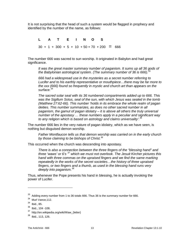It is not surprising that the head of such a system would be flagged in prophecy and identified by the number of the name, as follows:

## **L A T E I N O S**

 $30 + 1 + 300 + 5 + 10 + 50 + 70 + 200 = 666$ 

The number 666 was sacred to sun worship. It originated in Babylon and had great significance.

*It was the great master summary number of paganism. It sums up all 36 gods of the Babylonian astrological system. (The summary number of 36 is 666).[33](#page-14-0)*

*666 had a widespread use in the mysteries as a secret number referring to Lucifer and to his earthly representative or mouthpiece…there may be far more to the xxx (666) found so frequently in mystic and church art than appears on the surface.[34](#page-14-1)*

*The sacred solar seal with its 36 numbered compartments added up to 666. This*  was the Sigillum Solus, seal of the sun, with which Jesus was sealed in the tomb *(Matthew 27:62-66). This number 'holds in its embrace the whole realm of pagan deities. This number summarizes, as does no other sacred number in all paganism, the gamut of pagan idolatry – it is above all others the truly universal number of the apostasy … these numbers apply in a peculiar and significant way to any religion which is based on astrology and claims universality'. [35](#page-14-2)*

The number 666 lies in the very nature of pagan idolatry, which as we have seen, is nothing but disguised demon worship.

*Father Montfaucon tells us that demon worship was carried on in the early church by those claiming to be bishops of Christ.[36](#page-14-3)*

This occurred when the church was descending into apostasy.

*There is also a connection between the three fingers of the "blessing hand" and three 'waws' or 6's [37](#page-14-4) which we must not overlook. The Jesuit Kircher pictures this hand with three commas on the upraised fingers and we find the same marking repeatedly in the works of the secret societies…the history of three upraised fingers, or two fingers and a thumb, as used in the blessing hand runs very deeply into paganism.[38](#page-14-5)*

Thus, whenever the Pope presents his hand in blessing, he is actually invoking the power of Lucifer.

<span id="page-14-0"></span><sup>33</sup> Adding every number from 1 to 36 totals 666. Thus 36 is the *summary number* for 666.

<span id="page-14-1"></span><sup>&</sup>lt;sup>34</sup> Murl Vance, 112.

<span id="page-14-2"></span> $34$  Ibid., 85.

<span id="page-14-3"></span><sup>36</sup> Ibid., 104 -108.

<span id="page-14-4"></span><sup>37</sup> http://en.wikipedia.org/wiki/Waw\_(letter)

<span id="page-14-5"></span> $38$  Ibid., 113, 126.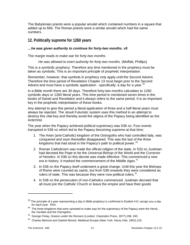The Babylonian priests wore a popular amulet which contained numbers in a square that added up to 666. The Roman priests wore a similar amulet which had the same numbers.

## <span id="page-15-0"></span>**12. Politically supreme for 1260 years**

## *…he was given authority to continue for forty-two months. v5*

The margin reads *to make war for forty-two months*.

#### *He was allowed to exert authority for forty-two months.* (Moffatt, Phillips)

This is a symbolic prophecy. Therefore any time mentioned in the prophecy must be taken as symbolic. This is an important principle of prophetic interpretation.

Remember, however, that symbols in prophecy only apply until the Second Advent. Therefore the time period of Revelation Chapter 13 must begin prior to the Second Advent and must have a symbolic application - specifically: a day for a year.<sup>[39](#page-15-1)</sup>

In a Bible month there are 30 days. Therefore forty-two months calculates to 1260 symbolic days or 1260 literal years. This time period is mentioned seven times in the books of Daniel and Revelation and it always refers to the same period. It is an important key in the prophetic interpretation of these books.

Any attempt to give this period a literal application of three and a half literal years must always be rejected. The Jesuit Futuristic system uses this method in an attempt to destroy this vital key and thereby avoid the stigma of the Papacy being identified as the Antichrist.

The year when the Papacy achieved political supremacy was 538 AD. Four events transpired in 538 AD which led to the Papacy becoming supreme at that time:

- 1. The Arian (anti-Catholic) kingdom of the Ostrogoths who had controlled Italy, was conquered and soon thereafter disappeared. This was the last of the three kingdoms that had stood in the Papacy's path to political power.<sup>[40](#page-15-2)</sup>
- 2. Roman Catholicism was made the official religion of the state. In 533 AD Justinian had decreed the Pope to be the *Universal Bishop of the World and the Corrector of Heretics*. In 538 AD this decree was made effective. This commenced a new era in history. It marked the commencement of the Middle Ages.<sup>[41](#page-15-3)</sup>
- 3. In 538 AD the Papacy itself underwent a great change. Until this year the Bishops of Rome were counted as *saints*, but from 538 onwards they were considered as rulers of state. This was because they were now political rulers. $42$
- 4. In 538 AD the persecution of non-Catholics commenced. Justinian decreed that all must join the Catholic Church or leave the empire and have their goods

<span id="page-15-1"></span><sup>39</sup> The principle of a year representing a day in Bible prophecy is confirmed in Ezekiel 4:6 *I assign you a day for each year.* RSV*.*

<span id="page-15-2"></span> $40$  The three kingdoms that were uprooted to make way for the supremacy of the Papacy were the Heruli, the Vandals and the Ostrogoths.

<span id="page-15-3"></span><sup>41</sup> George Finlay, *Greece under the Romans* (London: Clarendon Press, 1877),198, 240.

<span id="page-15-4"></span><sup>42</sup> Charles Bemont and Gabriel Monod, *Medieval Europe* (New York: Henry Holt, 1902),120.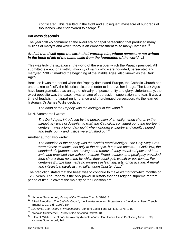confiscated. This resulted in the flight and subsequent massacre of hundreds of thousands who endeavored to escape.<sup>[43](#page-16-1)</sup>

## <span id="page-16-0"></span>**Darkness descends**

The year 538 AD commenced the awful era of papal persecution that produced many millions of martyrs and which today is an embarrassment to so many Catholics.<sup>[44](#page-16-2)</sup>

## *And all that dwell upon the earth shall worship him, whose names are not written in the book of life of the Lamb slain from the foundation of the world. v8*

This was truly the situation in the world of the era over which the Papacy presided. All submitted except for a faithful minority of saints who were hounded, persecuted and martyred. 538 AD marked the beginning of the Middle Ages, also known as the Dark Ages.

Because it was the period when the Papacy dominated Europe, the Catholic Church has undertaken to falsify the historical picture in order to improve her image. The Dark Ages have been glamorized as an age of chivalry, of peace, unity and glory. Unfortunately, the exact opposite was the case. It was an age of oppression, superstition and fear. It was a time of feudalism, of appalling ignorance and of prolonged persecution. As the learned historian, Dr James Wylie declared

*The noon of the Papacy was the midnight of the world.*[45](#page-16-3)

Dr N. Summerbell wrote:

*The Dark Ages, introduced by the persecution of an enlightened church in the sanguinary wars of Justinian to exalt the Catholics, continued up to the fourteenth century. It was a long, dark night when ignorance, bigotry and cruelty reigned, and truth, purity and justice were crushed out.*[46](#page-16-4)

#### Another author also wrote:

*The noontide of the papacy was the world's moral midnight. The Holy Scriptures were almost unknown, not only to the people, but to the priests….. God's law, the standard of righteousness, having been removed, they exercised power without limit, and practiced vice without restraint. Fraud, avarice, and profligacy prevailed. Men shrank from no crime by which they could gain wealth or position….. For centuries Europe had made no progress in learning, arts, or civilization. A moral and intellectual paralysis had fallen upon Christendom.*[47](#page-16-5)

The prediction stated that the beast was to continue to make war for forty-two months or 1260 years. The Papacy is the only power in history that has reigned supreme for that period of time. It covers the majority of the Christian era.

<span id="page-16-1"></span><sup>43</sup> Nicholas Summerbell, *History of the Christian Church*, 310-311.

<span id="page-16-2"></span><sup>44</sup> Alfred Baudrillart, *The Catholic Church, the Renaissance and Protestantism* (London: K. Paul, Trench, Trübner & Co. Ltd., 1908), 184.

<span id="page-16-3"></span><sup>45</sup> J.A. Wylie, *The History of Protestantism* (London: Cassell and Co. Ltd., 1878),1:16.

<span id="page-16-4"></span><sup>46</sup> Nicholas Summerbell, *History of the Christian Church*, 34.

<span id="page-16-5"></span><sup>47</sup> Ellen G. White, *The Great Controversy* (Mountain View, CA.: Pacific Press Publishing Assn., 1898); Nicholas Summerbell, Ibid.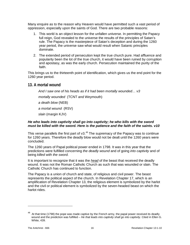Many enquire as to the reason why Heaven would have permitted such a vast period of oppression, especially upon the saints of God. There are two probable reasons:

- 1. This world is an object lesson for the unfallen universe. In permitting the Papacy full reign, God revealed to the universe the results of the principles of Satan's rule. The Papacy is the masterpiece of Satan's deception and during the 1260 year period, the universe saw what would result when Satanic principles dominate.
- 2. The extended period of persecution kept the true church pure. Had affluence and popularity been the lot of the true church, it would have been ruined by corruption and apostasy, as was the early church. Persecution maintained the purity of the faith.

This brings us to the thirteenth point of identification, which gives us the end point for the 1260 year period.

## <span id="page-17-0"></span>**13. A mortal wound**

*And I saw one of his heads as if it had been mortally wounded… v3*

*mortally wounded* (TCNT and Weymouth)

*a death blow* (NEB)

*a mortal wound* (RSV)

*slain* (margin KJV)

#### *He who leads into captivity shall go into captivity; he who kills with the sword must be killed with the sword. Here is the patience and the faith of the saints. v10*

This verse parallels the first part of  $v3.<sup>48</sup>$  $v3.<sup>48</sup>$  $v3.<sup>48</sup>$  The supremacy of the Papacy was to continue for 1260 years. Therefore the deadly blow would not be dealt until the 1260 years were concluded.

The 1260 years of Papal political power ended in 1798. It was in this year that the predictions were fulfilled concerning *the deadly wound* and of going *into captivity* and of being *killed with the sword.*

It is important to recognize that it was the *head* of the beast that received the deadly wound. It was not the Roman Catholic Church as such that was wounded or slain. The Catholic Church has continued to function.

The Papacy is a union of church and state, of religious and civil power. The beast represents the political aspect of the church. In Revelation Chapter 17, which is an amplification of Revelation Chapter 13, the religious element is symbolized by the harlot and the civil or political element is symbolized by the seven-headed beast on which the harlot rides.

<span id="page-17-1"></span>At that time (1798) the pope was made captive by the French army, the papal power received its deadly wound and the prediction was fulfilled – *He that leads into captivity shall go into captivity*. Cited in Ellen G. White, 439.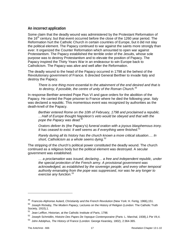## <span id="page-18-0"></span>**An incorrect application**

Some claim that the deadly wound was administered by the Protestant Reformation of the  $16<sup>th</sup>$  century; but that event occurred before the close of the 1260 year period. The Reformation hurt the Catholic Church in certain countries of Europe, but it did not slay the political element. The Papacy continued to war against the saints more strongly than ever. It organized the Counter Reformation which amounted to open war against Protestantism. The Papacy established the terrible order of the Jesuits, whose sole purpose was to destroy Protestantism and to elevate the position of Papacy. The Papacy inspired the Thirty Years War in an endeavour to win Europe back to Catholicism. The Papacy was alive and well after the Reformation.

The deadly wound to the head of the Papacy occurred in 1798 at the behest of the Revolutionary government of France. It directed General Berthier to invade Italy and destroy the Papacy.

*There is one thing more essential to the attainment of the end desired and that is to destroy, if possible, the centre of unity of the Roman Church.*[49](#page-18-1)

In response Berthier arrested Pope Pius VI and gave orders for the abolition of the Papacy. He carried the Pope prisoner to France where he died the following year. Italy was declared a republic. This momentous event was recognized by authorities as the death-knell of the Papacy.

*Berthier entered Rome on the 10th of February, 1798 and proclaimed a republic. …Half of Europe thought Napoleon's veto would be obeyed and that with the pope the Papacy was dead.*[50](#page-18-2)

*Orators deliver its* (the Papacy's) *funeral oration with a joyous blasphemous irony.*  It has ceased to exist. It well seems as if everything were finished.<sup>[51](#page-18-3)</sup>

*Rarely during all its history has the church known a more critical situation…. In short, Catholicism as a whole seems dying.*[52](#page-18-4)

The stripping of the church's political power constituted the deadly wound. The church continued as a religious body but the political element was destroyed. A secular government was established.

*… a proclamation was issued, declaring… a free and independent republic, under the special protection of the French army. A provisional government was acknowledged, as established by the sovereign people; and every other temporal authority emanating from the pope was suppressed, nor was he any longer to exercise any function.[53](#page-18-5)*

<span id="page-18-1"></span><sup>49</sup> Francois-Alphonse Aulard, *Christianity and the French Revolution* (New York: H. Fertig, 1966),151.

<span id="page-18-2"></span><sup>50</sup> Joseph Rickaby, *The Modern Papacy*, Lectures on the History of Religion (London: The Catholic Truth Society, 1910),1.

<span id="page-18-3"></span><sup>51</sup> Jean Lefflon, Historian, at the Catholic Institute of Paris, 1798.

<span id="page-18-4"></span><sup>52</sup> Joseph Schmidlin, *Histoire Des Papes De I'epoque Contemporaine* (Paris: L. Marchal, 1938),1 Pie VII,4.

<span id="page-18-5"></span><sup>53</sup> John Adolphus, *The History of France* (London: George Kearsley, 1802), 2:364-365.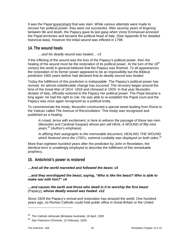It was the Papal government that was slain. While various attempts were made to recover her political power, they were not successful. After seventy years of lingering between life and death, the Papacy gave its last gasp when Victor Emmanuel annexed the Papal territories and became the political head of Italy. (See Appendix B for detailed historical data). However the initial wound was inflicted in 1798.

## <span id="page-19-0"></span>**14. The wound heals**

## *…and his deadly wound was healed… v3*

If the inflicting of the wound was the loss of the Papacy's political power, then the healing of the wound must be the restoration of its political power. At the turn of the 18<sup>th</sup> century the world in general believed that the Papacy was finished. To all appearances the restoration of its former power appeared to be an impossibility but the Biblical prediction 1900 years before had declared that *its deadly wound was healed*.

Today the fulfillment of this prediction is indisputable. The Papacy's political power has revived. An almost unbelievable change has occurred. The recovery began around the time of the Great War of 1914 -1918 and climaxed in 1929. In that year Mussolini, dictator of Italy, officially restored to the Papacy her political power. The Pope became a king again: he had the right to rule. He was able to re-establish the Papal court and the Papacy was once again recognized as a political entity.

To commemorate the treaty, Mussolini constructed a special street leading from Rome to the Vatican called *The Avenue of Reconciliation*. This treaty was recognized and published as a *healing*.

*A crowd, tense with excitement, is here to witness the passage of these two men*  (Mussolini and Cardinal Gaspari) *whose pen will HEAL A WOUND of fifty-nine years.*[54](#page-19-2) (Author's emphasis)

*In affixing their autographs to the memorable document, HEALING THE WOUND which festered since the 1700's, extreme cordiality was displayed on both sides.*[55](#page-19-3)

More than eighteen hundred years after the prediction by John in Revelation, the identical term is unwittingly employed to describe the fulfillment of this remarkable prophecy.

## <span id="page-19-1"></span>**15. Antichrist's power is restored**

## *…And all the world marveled and followed the beast. v3*

## *…and they worshipped the beast, saying, "Who is like the beast? Who is able to make war with him?" v4*

## *…and causes the earth and those who dwell in it to worship the first beast*  (Papacy)*, whose deadly wound was healed. v12*

Since 1929 the Papacy's revival and restoration has amazed the world. One hundred years ago, no Roman Catholic could hold public office in Great Britain or the United

<span id="page-19-2"></span><sup>54</sup> *The Catholic Advocate* (Brisbane Australia), 18 April, 1929

<span id="page-19-3"></span><sup>55</sup> *San Francisco Chronicle*, 12 February, 1929.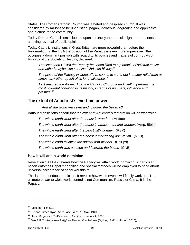States. The Roman Catholic Church was a hated and despised church. It was considered by millions to be unchristian, pagan, idolatrous, degrading and oppressive and a curse to the community.

Today Roman Catholicism is looked upon in exactly the opposite light. It represents an amazing reversal of public opinion.

Today Catholic institutions in Great Britain are more powerful than before the Reformation. In the USA the position of the Papacy is even more impressive. She occupies a dominant position with regard to its policies and matters of control. As J. Rickaby of the Society of Jesuits, declared:

*Yet since then* (1798) *the Papacy has been lifted to a pinnacle of spiritual power unreached maybe since earliest Christian history.*[56](#page-20-2)

*The place of the Papacy in world affairs seems to stand out in bolder relief than at almost any other epoch of its long existence.*[57](#page-20-3)

*As it reached the Atomic Age, the Catholic Church found itself in perhaps the most powerful condition in its history, in terms of numbers, influence and prestige.*[58](#page-20-4)

## <span id="page-20-0"></span>**The extent of Antichrist's end-time power**

*…And all the world marveled and followed the beast. v3*

Various translations concur that the extent of Antichrist's restoration will be worldwide.

*The whole earth went after the beast in wonder.* (Moffatt)

*The whole earth went after the beast in amazement and wonder.* (Amp. Bible)

*The whole earth went after the beast with wonder.* (RSV)

*The whole earth went after the beast in wondering admiration.* (NEB)

*The whole earth followed the animal with wonder.* (Phillips)

*The whole earth was amazed and followed the beast.* (GNB)

## <span id="page-20-1"></span>**How it will attain world dominion**

Revelation 13:11-17 reveals how the Papacy will attain world dominion. A particular nation enforces Papal recognition and special methods will be employed to bring about universal acceptance of papal worship.<sup>[59](#page-20-5)</sup>

This is a tremendous prediction. It reveals how world events will finally work out. The ultimate power to wield world control is not Communism, Russia or China. It is the Papacy.

<span id="page-20-2"></span><sup>56</sup> Joseph Rickaby,1.

<span id="page-20-3"></span><sup>57</sup> Bishop James Ryan, *New York Times*, 12 May, 1940.

<span id="page-20-4"></span><sup>58</sup> Time Magazine, *1962 Person of the Year,* January 4, 1963.

<span id="page-20-5"></span><sup>59</sup> See A.P.Cooke, *When Religious Persecution Returns* (Sydney: Self-published, 2010),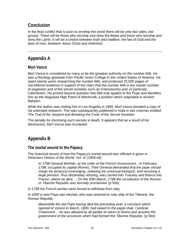## <span id="page-21-0"></span>**Conclusion**

In the final conflict that is soon to envelop the world there will be only two sides; two groups. There will be those who worship and obey the Beast and those who worship and obey the Lamb. It will be a choice between truth and tradition; the law of God and the laws of men, between Jesus Christ and Antichrist.

## <span id="page-21-1"></span>**Appendix A**

## <span id="page-21-2"></span>**Murl Vance**

Murl Vance is considered by many to be the greatest authority on the number 666. He was a theology graduate from Pacific Union College in the United States of America. He spent twenty years researching the number 666, and produced 25,000 pages of microfilmed evidence in support of the claim that the number 666 is the master number of paganism and of the secret societies such as Freemasonry and, in particular, Catholicism. He proved beyond question that 666 truly applies to the Pope and identifies him as the disguised High Priest of Witchcraft, a position which originated in ancient Babylon.

While the author was visiting him in Los Angeles in 1956, Murl Vance donated a copy of his extended research. This was subsequently published in India in two volumes entitled: *The Trail of the Serpent* and *Breaking the Code of the Secret Societies* 

The penalty for disclosing such secrets is death. It appears that as a result of his disclosures, Murl Vance was murdered.

## <span id="page-21-3"></span>**Appendix B**

## <span id="page-21-4"></span>**The mortal wound to the Papacy**

The historical record of how the Papacy's mortal wound was inflicted is given in *Historians History of the World,* Vol. IX (1908 ed)

*In 1798 General Berthier, at the order of the French Government…in February, 1798, occupied its capital* (Rome). *Their General demanded that the pope should resign his temporal sovereignty, retaining his universal bishopric, and receiving a*  large pension. Pius obstinately refusing, was carried into Tuscany and thence into *France, where he died…. On the 20th March, 1798 the constitution of the Roman or Tiberine Republic was formally proclaimed.* (p 556)

In 1799 the French armies were forced to withdraw from Italy.

In 1800 a new Pope was elected, who was restored to ruler ship of the Tiberine; the Roman Republic.

*Meanwhile the old Pope having died the preceding year, a conclave which opened at Venice in March, 1800, had raised to the papal chair, Cardinal Chiarmonti… he was allowed by all parties to return to Rome and assume the government of the provinces which had formed the Tiberine Republic.* (p 564)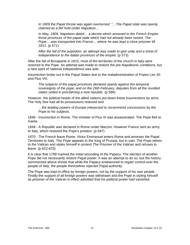*In 1809 the Papal throne was again overturned. "…The Papal state was openly claimed as a fief hold under Napoleon…*

*In May, 1809, Napoleon dated… a decree which annexed to the French Empire those provinces of the papal state which had not already been seized. The Pope….was transported into France… where he was kept a close prisoner till 1811*. (p 571)

*After the fall of the popedom, an attempt was made to give unity and a show of independence to the Italian provinces of the empire*. (p 573)

After the fall of Bonaparte in 1815, most of the territories of the church in Italy were restored to the Pope. An attempt was made to restore the pre-Napoleonic conditions, but a new spirit of national independence was astir.

Insurrection broke out in the Papal States due to the maladministration of Popes Leo XII and Pius VIII.

*The subjects of the papal provinces declared openly against the temporal sovereignty of the pope, and on the 26th February, deputies from all the revolted states united in proclaiming a new republic.* (p 586)

However, the political heads of the allied nations put down these insurrections by arms. The Holy See had all its possessions restored and

*…the leading powers of Europe interposed to recommend concessions by the Pope to his subjects.*

1848 - Insurrection in Rome. The minister of Pius IX was assassinated. The Pope fled to Gaeta.

1849 - A Republic was declared in Rome under Mazzini. However France sent an army to Italy, which restored the Pope's position. (p.597)

1870 - The French leave Rome. Victor Emmanuel enters Rome and annexes the Papal Territories to Italy. The Pope appeals to the King of Prussia, but in vain. The Pope retires to the Vatican and styles himself in protest *The Prisoner of the Vatican* and refuses to leave. (p.622-623)

It is clear that 1798 marked the initial wounding of the Papacy. The election of another Pope did not necessarily restore Papal power. It was an attempt to do so, but the history summarized above shows that while the Papacy endeavored to regain control over the people of Italy, the people themselves rejected Papal authority.

The Pope was kept in office by foreign powers, not by the support of his own people. Finally the support of all foreign powers was withdrawn and the Pope in styling himself as *prisoner of the Vatican* in effect admitted that his political power had vanished.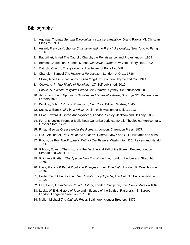## <span id="page-23-0"></span>**Bibliography**

- 1. Aquinas, Thomas *Summa Theologica: a concise translation*, Grand Rapids MI: Christian Classics, 1991.
- 2. Aulard, Francois-Alphonse *Christianity and the French Revolution*, New York: H. Fertig, 1966.
- 3. Baudrillart, Alfred The Catholic Church, the Renaissance, and Protestantism, 1909
- 4. Bemont Charles and Gabriel Monod, *Medieval Europe* New York: Henry Holt, 1902.
- 5. Catholic Church, The great encyclical letters of Pope Leo XIII
- 6. Chandler, Samuel *The History of Persecution*, London: J. Gray, 1736.
- 7. Close, Albert *Antichrist and His Ten Kingdoms*, London: Thyme and Co., 1944.
- 8. Cooke, A. P. *The Riddle of Revelation 17*, Self published, 2010.
- 9. Cooke, A.P.*When Religious Persecution Returns*, Sydney: Self-published, 2010.
- 10. de Liguori, Saint Alphonsus *Dignities and Duties of a Priest*, Brooklyn NY: Redemptorist Fathers 1926.
- 11. Dowling, John *History of Romanism*, New York: Edward Walker, 1845.
- 12. Doyle, William *Shall I be a Priest*, Dublin: Irish Messenegr Office, 1913.
- 13. Elliot, Edward B. *Horae Apocalypticae*, London: Seeley, Jackson and Halliday, 1862.
- 14. Ferraris, Lucius Prompta Bibliotheca Canonica Juridica Moralis Theologica, Venice, Italy: Gaspar Storti, 1772.
- 15. Finlay, George *Greece under the Romans*, London: Clarendon Press, 1877.
- 16. Flick, Alexander *The Rise of the Medieval Church*, New York: G. P. Putnams and sons
- 17. Froom, Le Roy *The Prophetic Faith of Our Fathers*, Washington, DC: Review and Herald, 1954.
- 18. Gibbon, Edward The History of the Decline and Fall of the Roman Empire, London: Strahan and Cadell, 1789.
- 19. Guinness Grattan, *The Approaching End of the Age*, London: Hodder and Straughton, 1879.
- 20. Hays, Francis P *Papal Right and Privilges in their True Light*, London: R. Washbourne, 1889.
- 21. Herbermann Charles et al, *The Catholic Encyclopedia*, The Catholic Encyclopedia Inc, 1922.
- 22. Lea, Henry C *Studies in Church History*, London: Sampson, Low, Son & Marston 1869.
- 23. Lecky, W.E.H. History of Rise and Influence of the Spirit of Rationalism in Europe, London: Longman Green & Co, 1866.
- 24. Muller, Michael *The Catholic Priest*, Baltimore: Kteuzer Brothers, 1876.